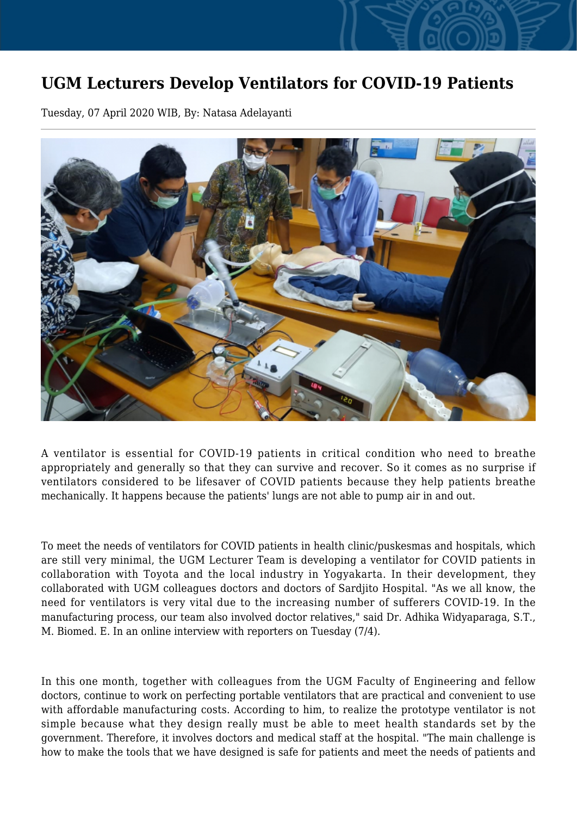## **UGM Lecturers Develop Ventilators for COVID-19 Patients**

Tuesday, 07 April 2020 WIB, By: Natasa Adelayanti



A ventilator is essential for COVID-19 patients in critical condition who need to breathe appropriately and generally so that they can survive and recover. So it comes as no surprise if ventilators considered to be lifesaver of COVID patients because they help patients breathe mechanically. It happens because the patients' lungs are not able to pump air in and out.

To meet the needs of ventilators for COVID patients in health clinic/puskesmas and hospitals, which are still very minimal, the UGM Lecturer Team is developing a ventilator for COVID patients in collaboration with Toyota and the local industry in Yogyakarta. In their development, they collaborated with UGM colleagues doctors and doctors of Sardjito Hospital. "As we all know, the need for ventilators is very vital due to the increasing number of sufferers COVID-19. In the manufacturing process, our team also involved doctor relatives," said Dr. Adhika Widyaparaga, S.T., M. Biomed. E. In an online interview with reporters on Tuesday (7/4).

In this one month, together with colleagues from the UGM Faculty of Engineering and fellow doctors, continue to work on perfecting portable ventilators that are practical and convenient to use with affordable manufacturing costs. According to him, to realize the prototype ventilator is not simple because what they design really must be able to meet health standards set by the government. Therefore, it involves doctors and medical staff at the hospital. "The main challenge is how to make the tools that we have designed is safe for patients and meet the needs of patients and